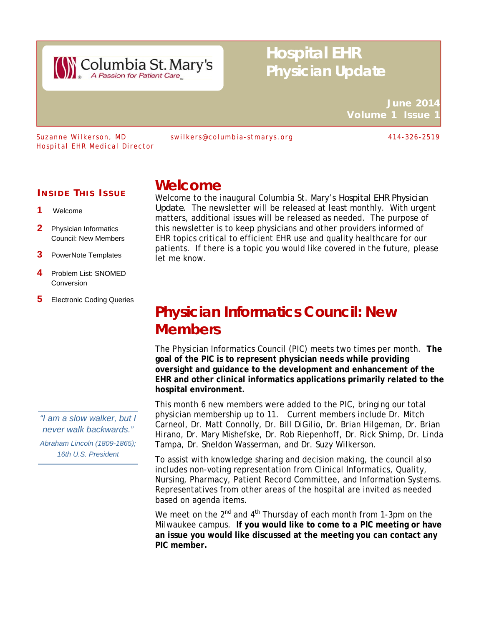

# **Hospital EHR Physician Update**

**June 2014 Volume 1 Issue** 

Hospital EHR Medical Director

Suzanne Wilkerson, MD swilkers@columbia-stmarys.org 414-326-2519

### **I NSIDE T HIS I SSUE**

- Welcome
- 2 Physician Informatics Council: New Members
- 3 PowerNote Templates
- 4 Problem List: SNOMED Conversion
- **5** Electronic Coding Queries

*"I am a slow walker, but I never walk backwards."* 

*Abraham Lincoln (1809-1865); 16th U.S. President* 

### **Welcome**

Welcome to the inaugural Columbia St. Mary's *Hospital EHR Physician Update*. The newsletter will be released at least monthly. With urgent matters, additional issues will be released as needed. The purpose of this newsletter is to keep physicians and other providers informed of EHR topics critical to efficient EHR use and quality healthcare for our patients. If there is a topic you would like covered in the future, please let me know.

# **Physician Informatics Council: New Members**

The Physician Informatics Council (PIC) meets two times per month. **The goal of the PIC is to represent physician needs while providing oversight and guidance to the development and enhancement of the EHR and other clinical informatics applications primarily related to the hospital environment.** 

This month 6 new members were added to the PIC, bringing our total physician membership up to 11. Current members include Dr. Mitch Carneol, Dr. Matt Connolly, Dr. Bill DiGilio, Dr. Brian Hilgeman, Dr. Brian Hirano, Dr. Mary Mishefske, Dr. Rob Riepenhoff, Dr. Rick Shimp, Dr. Linda Tampa, Dr. Sheldon Wasserman, and Dr. Suzy Wilkerson.

To assist with knowledge sharing and decision making, the council also includes non-voting representation from Clinical Informatics, Quality, Nursing, Pharmacy, Patient Record Committee, and Information Systems. Representatives from other areas of the hospital are invited as needed based on agenda items.

We meet on the  $2^{nd}$  and  $4^{th}$  Thursday of each month from 1-3pm on the Milwaukee campus. **If you would like to come to a PIC meeting or have an issue you would like discussed at the meeting you can contact any PIC member.**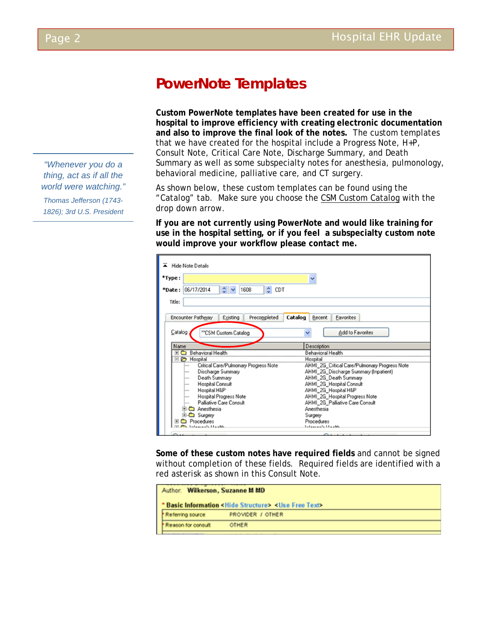## **PowerNote Templates**

**Custom PowerNote templates have been created for use in the hospital to improve efficiency with creating electronic documentation and also to improve the final look of the notes.** The custom templates that we have created for the hospital include a Progress Note, H+P, Consult Note, Critical Care Note, Discharge Summary, and Death Summary as well as some subspecialty notes for anesthesia, pulmonology, behavioral medicine, palliative care, and CT surgery.

As shown below, these custom templates can be found using the "Catalog" tab. Make sure you choose the CSM Custom Catalog with the drop down arrow.

**If you are not currently using PowerNote and would like training for use in the hospital setting, or if you feel a subspecialty custom note would improve your workflow please contact me.** 

| *Type:<br>◡<br>*Date: 06/17/2014<br>$\hat{z}$ $\sim$<br>1608<br>$\hat{\cdot}$<br><b>CDT</b><br>Title:<br>Encounter Pathway<br>Existing<br>Catalog<br>Precompleted<br>Recent<br>Favorites<br>Catalog<br>Add to Favorites<br><sup>xx</sup> CSM Custom Catalog<br>Name<br>Description<br>Behavioral Health<br>$\blacksquare$<br>Behavioral Health<br>□ → Hospital<br>Hospital<br>Critical Care/Pulmonary Progress Note<br>AHMI 2G Critical Care/Pulmonary Progress Note<br>AHMI_2G_Discharge Summary [Inpatient]<br>Discharge Summary<br>Death Summary<br>AHMI_2G_Death Summary<br><b>SHOW</b><br><b>Hospital Consult</b><br>AHMI_2G_Hospital Consult<br>Hospital H&P<br>AHMI_2G_Hospital H&P<br>---<br><b>Hospital Progress Note</b><br>AHMI_2G_Hospital Progress Note<br><b>AMAR</b><br>Palliative Care Consult<br>AHMI_2G_Palliative Care Consult<br>Anesthesia<br><b>C</b> Anesthesia |  |  |  |  |  |  |  |
|----------------------------------------------------------------------------------------------------------------------------------------------------------------------------------------------------------------------------------------------------------------------------------------------------------------------------------------------------------------------------------------------------------------------------------------------------------------------------------------------------------------------------------------------------------------------------------------------------------------------------------------------------------------------------------------------------------------------------------------------------------------------------------------------------------------------------------------------------------------------------------------|--|--|--|--|--|--|--|
|                                                                                                                                                                                                                                                                                                                                                                                                                                                                                                                                                                                                                                                                                                                                                                                                                                                                                        |  |  |  |  |  |  |  |
|                                                                                                                                                                                                                                                                                                                                                                                                                                                                                                                                                                                                                                                                                                                                                                                                                                                                                        |  |  |  |  |  |  |  |
|                                                                                                                                                                                                                                                                                                                                                                                                                                                                                                                                                                                                                                                                                                                                                                                                                                                                                        |  |  |  |  |  |  |  |
|                                                                                                                                                                                                                                                                                                                                                                                                                                                                                                                                                                                                                                                                                                                                                                                                                                                                                        |  |  |  |  |  |  |  |
|                                                                                                                                                                                                                                                                                                                                                                                                                                                                                                                                                                                                                                                                                                                                                                                                                                                                                        |  |  |  |  |  |  |  |
|                                                                                                                                                                                                                                                                                                                                                                                                                                                                                                                                                                                                                                                                                                                                                                                                                                                                                        |  |  |  |  |  |  |  |
|                                                                                                                                                                                                                                                                                                                                                                                                                                                                                                                                                                                                                                                                                                                                                                                                                                                                                        |  |  |  |  |  |  |  |
|                                                                                                                                                                                                                                                                                                                                                                                                                                                                                                                                                                                                                                                                                                                                                                                                                                                                                        |  |  |  |  |  |  |  |
|                                                                                                                                                                                                                                                                                                                                                                                                                                                                                                                                                                                                                                                                                                                                                                                                                                                                                        |  |  |  |  |  |  |  |
|                                                                                                                                                                                                                                                                                                                                                                                                                                                                                                                                                                                                                                                                                                                                                                                                                                                                                        |  |  |  |  |  |  |  |
|                                                                                                                                                                                                                                                                                                                                                                                                                                                                                                                                                                                                                                                                                                                                                                                                                                                                                        |  |  |  |  |  |  |  |
|                                                                                                                                                                                                                                                                                                                                                                                                                                                                                                                                                                                                                                                                                                                                                                                                                                                                                        |  |  |  |  |  |  |  |
|                                                                                                                                                                                                                                                                                                                                                                                                                                                                                                                                                                                                                                                                                                                                                                                                                                                                                        |  |  |  |  |  |  |  |
|                                                                                                                                                                                                                                                                                                                                                                                                                                                                                                                                                                                                                                                                                                                                                                                                                                                                                        |  |  |  |  |  |  |  |
|                                                                                                                                                                                                                                                                                                                                                                                                                                                                                                                                                                                                                                                                                                                                                                                                                                                                                        |  |  |  |  |  |  |  |
|                                                                                                                                                                                                                                                                                                                                                                                                                                                                                                                                                                                                                                                                                                                                                                                                                                                                                        |  |  |  |  |  |  |  |
|                                                                                                                                                                                                                                                                                                                                                                                                                                                                                                                                                                                                                                                                                                                                                                                                                                                                                        |  |  |  |  |  |  |  |
| <sup>C</sup> Surgery<br>Surgery                                                                                                                                                                                                                                                                                                                                                                                                                                                                                                                                                                                                                                                                                                                                                                                                                                                        |  |  |  |  |  |  |  |
| Procedures<br>Procedures<br>$\blacksquare$                                                                                                                                                                                                                                                                                                                                                                                                                                                                                                                                                                                                                                                                                                                                                                                                                                             |  |  |  |  |  |  |  |
| $1 - 2 - 3 - 1 - 1 - 1$<br>Selencede Hankle                                                                                                                                                                                                                                                                                                                                                                                                                                                                                                                                                                                                                                                                                                                                                                                                                                            |  |  |  |  |  |  |  |

**Some of these custom notes have required fields** and cannot be signed without completion of these fields. Required fields are identified with a red asterisk as shown in this Consult Note.

| Author: Wilkerson, Suzanne M MD                        |                  |  |  |  |  |  |
|--------------------------------------------------------|------------------|--|--|--|--|--|
| * Basic Information < Hide Structure> < Use Free Text> |                  |  |  |  |  |  |
| Referring source                                       | PROVIDER J OTHER |  |  |  |  |  |
| Reason for consult                                     | <b>OTHER</b>     |  |  |  |  |  |
|                                                        |                  |  |  |  |  |  |

*"Whenever you do a thing, act as if all the world were watching."* 

*Thomas Jefferson (1743- 1826); 3rd U.S. President* 

ī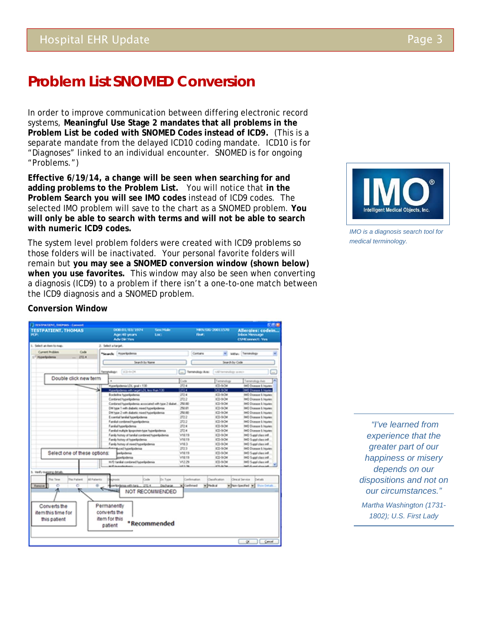## **Problem List SNOMED Conversion**

In order to improve communication between differing electronic record systems, **Meaningful Use Stage 2 mandates that all problems in the Problem List be coded with SNOMED Codes instead of ICD9.** (This is a separate mandate from the delayed ICD10 coding mandate. ICD10 is for "Diagnoses" linked to an individual encounter. SNOMED is for ongoing "Problems.")

**Effective 6/19/14, a change will be seen when searching for and adding problems to the Problem List.** You will notice that **in the Problem Search you will see IMO codes** instead of ICD9 codes. The selected IMO problem will save to the chart as a SNOMED problem. **You will only be able to search with terms and will not be able to search with numeric ICD9 codes.** 

The system level problem folders were created with ICD9 problems so those folders will be inactivated. Your personal favorite folders will remain but **you may see a SNOMED conversion window (shown below) when you use favorites.** This window may also be seen when converting a diagnosis (ICD9) to a problem if there isn't a one-to-one match between the ICD9 diagnosis and a SNOMED problem.



*IMO is a diagnosis search tool for medical terminology.*

### **Conversion Window**

| <b>IESTPATIONI, DEPUG : Convert</b>                                       |                                                              |                                                        |                          |                 |                       | 551                                                                     |
|---------------------------------------------------------------------------|--------------------------------------------------------------|--------------------------------------------------------|--------------------------|-----------------|-----------------------|-------------------------------------------------------------------------|
| <b>TESTPATIENT, THOMAS</b><br>POP.                                        | DOR:01/03/1974<br>Age: 40 years<br>Adv Dir Yes               |                                                        | <b>Sara Made</b><br>Loct | Finant          | MRN:535-20011570      | Allergies: codein<br><b>Indicas Mensurage</b><br><b>CSMConnect: Ves</b> |
| 1. Select an item to map.                                                 | 2. Select a target.                                          |                                                        |                          |                 |                       |                                                                         |
| <b>Current Problem</b><br>Code<br>272.4<br>1 <sup>-1</sup> Myterlipidemia | "Search: Hiperlockmis                                        |                                                        |                          | Contains        | w.                    | were: Terrinology                                                       |
|                                                                           | Search by Name                                               |                                                        | Search by Code           |                 |                       |                                                                         |
|                                                                           | <b>Terranology:</b><br>E2-9-01                               |                                                        |                          | Terrenckgy Arts | cal tempology avec to | $\equiv$                                                                |
| Double click new term                                                     |                                                              |                                                        |                          | Code            | Teminolog             | п<br>Teminology Axis                                                    |
|                                                                           | Huperlipulersia LDL goal c 130                               |                                                        |                          | 2724            | ICD-SCM               | <b>IMO Oceane L Irquies</b>                                             |
|                                                                           | HuterSpidence with target LDL less than 1.30                 |                                                        |                          | 2724            | <b>ICD-BOM</b>        | (MC) Crowan & Inguiser                                                  |
|                                                                           | <b>Borderine huperlipidensa</b>                              |                                                        |                          | 272.4           | ICD-5CM               | <b>IMO Oceane &amp; Inguier</b>                                         |
|                                                                           | Continued hyperlipidemia                                     |                                                        |                          | 272.2           | ICD-SCM               | <b>IM3 Disease L Injuries</b>                                           |
|                                                                           |                                                              | Continued hyperlipidemia accordined with how 2 diabet. |                          | 250.00          | ICD-SO4               | <b>IMO Disease &amp; Inquies</b>                                        |
|                                                                           |                                                              | CM type 1 with diabetic mixed hyperlipidemia           |                          | 250.81          | ICD-5CM               | <b>IMO Disease L Inguies</b>                                            |
|                                                                           | EM type 2 with diabetic mixed hyperlipdemia                  |                                                        |                          | 250.00          | ICD-5-CM              | <b>MO Donase &amp; Ingunes</b>                                          |
|                                                                           | Excential fundial hyperlipsbenia                             |                                                        |                          | 272.2           | ICD-5CM               | <b>IMO Disease L Injuries</b>                                           |
|                                                                           | Fandal continued hyperliputerius                             |                                                        |                          | 272.2           | ICD-BOM               | <b>IMO Disease &amp; Inguies</b>                                        |
|                                                                           | Fandid huperlipidenia                                        |                                                        |                          | 272.4           | ICD-5-CM              | <b>IMO Dicesos &amp; Injuries</b>                                       |
|                                                                           |                                                              | Fanilial multiple lipoprotein-type hyperlipidemia      |                          | 272.4           | ICD-5-D4              | <b>IMO Disease L Inquies</b>                                            |
|                                                                           |                                                              | Fands history of funded combined hyperlipidemia        |                          | <b>V18.19</b>   | ICD-5OK               | IMD Supplicites inf.                                                    |
|                                                                           | Fandy huttory of hyperlipidemia                              |                                                        |                          | <b>V18.19</b>   | ICD-5CM               | IMD Suppl class inf.                                                    |
|                                                                           | Fandy hotory of mixed hyperlipulerua                         |                                                        |                          | V18.3           | ICD-SO4               | IMO Suppl class infl.                                                   |
|                                                                           | <b>Acred huperlipidemia</b>                                  |                                                        |                          | 272.3           | ICD-SO4               | <b>IMO Disease &amp; Injuries</b>                                       |
| Selectione of these options:                                              | perfections                                                  |                                                        |                          | V18.19          | ICD-SO4               | IMO Supplicites infl.                                                   |
|                                                                           | exhibition                                                   |                                                        |                          | <b>V18.19</b>   | ICD-5/DK              | IMD Supplicites inf.                                                    |
|                                                                           | H/O landal contaned huperlipdenia                            |                                                        |                          | V12.29          | ICD-SO4               | IMO Suppl class will                                                    |
| 3. Verify mapping details                                                 | Middle Accounting                                            |                                                        |                          | 14.3.34         | ATA-A-TAA             | <b>BASIC ALL AND ARTICLES</b>                                           |
| ad Patents<br>his Timer<br>This Patient                                   |                                                              | Cade                                                   | <b>Dx Tupe</b>           | Conferration    | Classification.       | Clearal Service<br>Details                                              |
| 75<br>75<br>Renove                                                        | w<br>a vith targ                                             | 292.4                                                  | Discharge                | v Cardward      | w Pedral              | . Pon-Specified by Show Details                                         |
| ĸ<br>Converts the<br>item this time for<br>this patient                   | ∼<br>Permanently<br>converts the<br>item for this<br>patient | NOT RECOMMENDED<br>*Recommended                        |                          |                 |                       |                                                                         |
|                                                                           |                                                              |                                                        |                          |                 |                       | ×<br>Cancel                                                             |

 *"I've learned from experience that the greater part of our happiness or misery depends on our dispositions and not on our circumstances." Martha Washington (1731- 1802); U.S. First Lady*